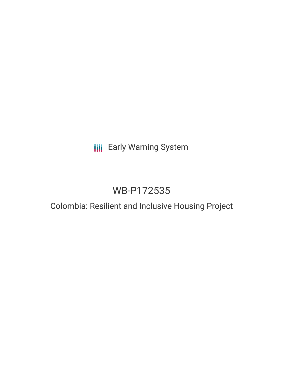# **III** Early Warning System

# WB-P172535

## Colombia: Resilient and Inclusive Housing Project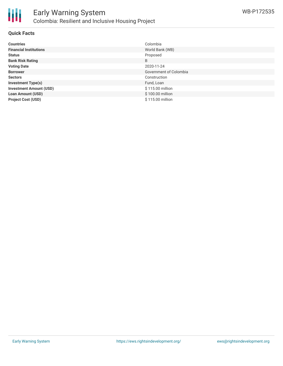

冊

#### **Quick Facts**

| <b>Countries</b>               | Colombia               |
|--------------------------------|------------------------|
| <b>Financial Institutions</b>  | World Bank (WB)        |
| <b>Status</b>                  | Proposed               |
| <b>Bank Risk Rating</b>        | B                      |
| <b>Voting Date</b>             | 2020-11-24             |
| <b>Borrower</b>                | Government of Colombia |
| <b>Sectors</b>                 | Construction           |
| <b>Investment Type(s)</b>      | Fund, Loan             |
| <b>Investment Amount (USD)</b> | \$115.00 million       |
| <b>Loan Amount (USD)</b>       | \$100.00 million       |
| <b>Project Cost (USD)</b>      | \$115.00 million       |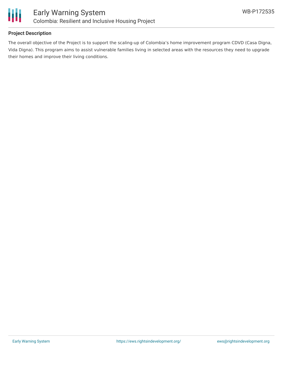

#### **Project Description**

The overall objective of the Project is to support the scaling-up of Colombia's home improvement program CDVD (Casa Digna, Vida Digna). This program aims to assist vulnerable families living in selected areas with the resources they need to upgrade their homes and improve their living conditions.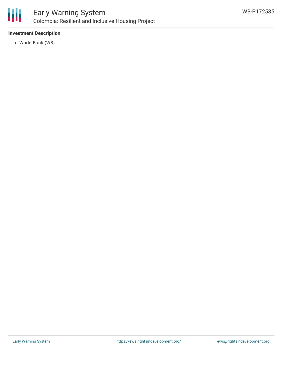

## Early Warning System Colombia: Resilient and Inclusive Housing Project

#### **Investment Description**

World Bank (WB)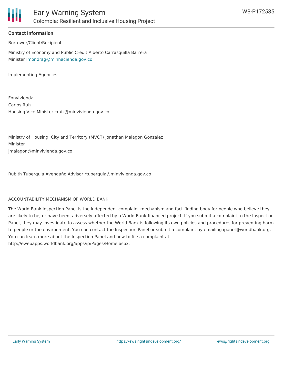

#### **Contact Information**

Borrower/Client/Recipient

Ministry of Economy and Public Credit Alberto Carrasquilla Barrera Minister [lmondrag@minhacienda.gov.co](mailto:lmondrag@minhacienda.gov.co)

Implementing Agencies

Fonvivienda Carlos Ruiz Housing Vice Minister cruiz@minvivienda.gov.co

Ministry of Housing, City and Territory (MVCT) Jonathan Malagon Gonzalez Minister jmalagon@minvivienda.gov.co

Rubith Tuberquia Avendaño Advisor rtuberquia@minvivienda.gov.co

#### ACCOUNTABILITY MECHANISM OF WORLD BANK

The World Bank Inspection Panel is the independent complaint mechanism and fact-finding body for people who believe they are likely to be, or have been, adversely affected by a World Bank-financed project. If you submit a complaint to the Inspection Panel, they may investigate to assess whether the World Bank is following its own policies and procedures for preventing harm to people or the environment. You can contact the Inspection Panel or submit a complaint by emailing ipanel@worldbank.org. You can learn more about the Inspection Panel and how to file a complaint at: http://ewebapps.worldbank.org/apps/ip/Pages/Home.aspx.